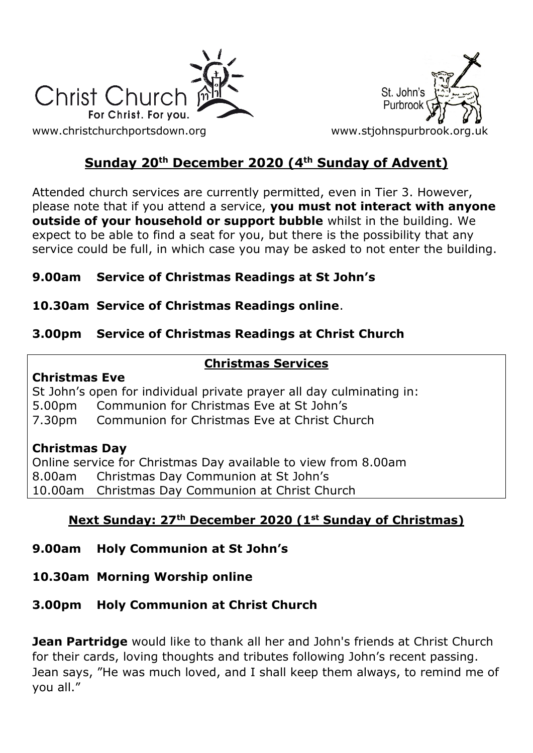



# **Sunday 20th December 2020 (4th Sunday of Advent)**

Attended church services are currently permitted, even in Tier 3. However, please note that if you attend a service, **you must not interact with anyone outside of your household or support bubble** whilst in the building. We expect to be able to find a seat for you, but there is the possibility that any service could be full, in which case you may be asked to not enter the building.

## **9.00am Service of Christmas Readings at St John's**

## **10.30am Service of Christmas Readings online**.

## **3.00pm Service of Christmas Readings at Christ Church**

## **Christmas Services**

#### **Christmas Eve**

St John's open for individual private prayer all day culminating in: 5.00pm Communion for Christmas Eve at St John's 7.30pm Communion for Christmas Eve at Christ Church

#### **Christmas Day**

Online service for Christmas Day available to view from 8.00am 8.00am Christmas Day Communion at St John's 10.00am Christmas Day Communion at Christ Church

## **Next Sunday: 27th December 2020 (1st Sunday of Christmas)**

## **9.00am Holy Communion at St John's**

## **10.30am Morning Worship online**

## **3.00pm Holy Communion at Christ Church**

**Jean Partridge** would like to thank all her and John's friends at Christ Church for their cards, loving thoughts and tributes following John's recent passing. Jean says, "He was much loved, and I shall keep them always, to remind me of you all."